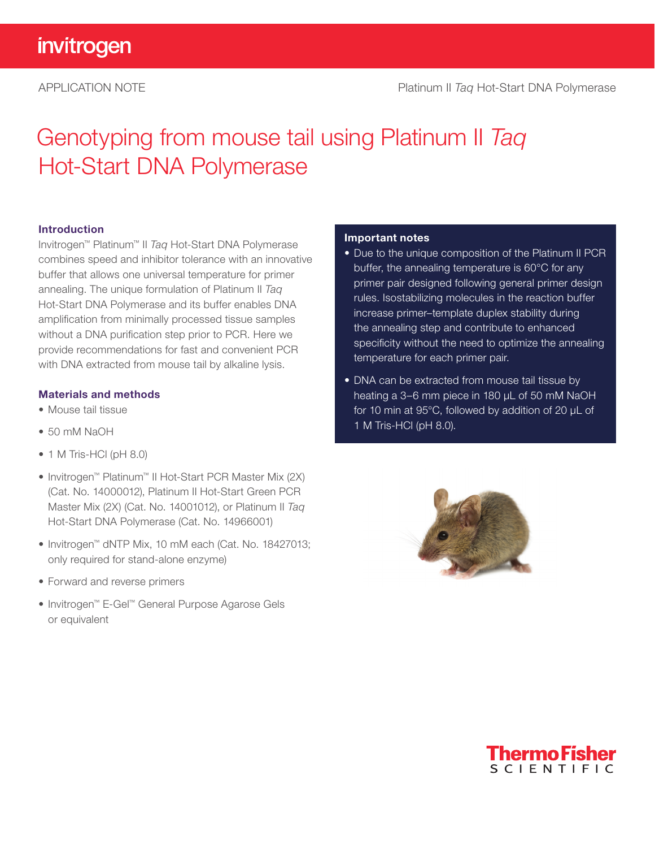# invitrogen

# APPLICATION NOTE Platinum II *Taq* [Hot-Start DNA Polymerase](https://thermofisher.com/platinumiitaq)

# Genotyping from mouse tail using Platinum II *Taq* Hot-Start DNA Polymerase

### Introduction

Invitrogen™ Platinum™ II *Taq* Hot-Start DNA Polymerase combines speed and inhibitor tolerance with an innovative buffer that allows one universal temperature for primer annealing. The unique formulation of Platinum II *Taq* Hot-Start DNA Polymerase and its buffer enables DNA amplification from minimally processed tissue samples without a DNA purification step prior to PCR. Here we provide recommendations for fast and convenient PCR with DNA extracted from mouse tail by alkaline lysis.

# Materials and methods

- Mouse tail tissue
- 50 mM NaOH
- 1 M Tris-HCl (pH 8.0)
- Invitrogen™ Platinum™ II Hot-Start PCR Master Mix (2X) (Cat. No. 14000012), Platinum II Hot-Start Green PCR Master Mix (2X) (Cat. No. 14001012), or Platinum II *Taq* Hot-Start DNA Polymerase (Cat. No. 14966001)
- Invitrogen™ dNTP Mix, 10 mM each (Cat. No. 18427013; only required for stand-alone enzyme)
- Forward and reverse primers
- Invitrogen™ E-Gel™ General Purpose Agarose Gels or equivalent

#### Important notes

- Due to the unique composition of the Platinum II PCR buffer, the annealing temperature is 60°C for any primer pair designed following general primer design rules. Isostabilizing molecules in the reaction buffer increase primer–template duplex stability during the annealing step and contribute to enhanced specificity without the need to optimize the annealing temperature for each primer pair.
- DNA can be extracted from mouse tail tissue by heating a 3–6 mm piece in 180 μL of 50 mM NaOH for 10 min at 95°C, followed by addition of 20 µL of 1 M Tris-HCl (pH 8.0).



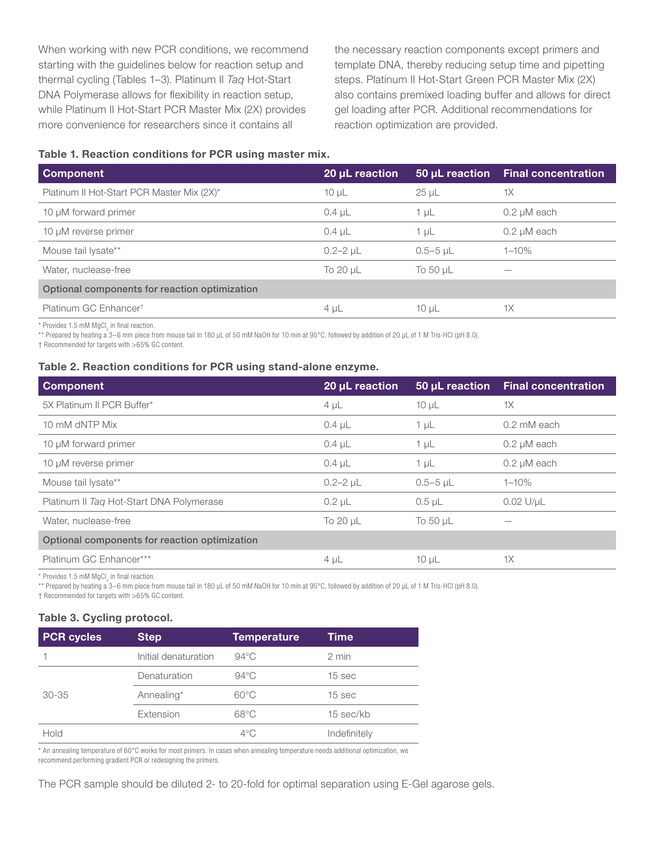When working with new PCR conditions, we recommend starting with the guidelines below for reaction setup and thermal cycling (Tables 1–3). Platinum II *Taq* Hot-Start DNA Polymerase allows for flexibility in reaction setup, while Platinum II Hot-Start PCR Master Mix (2X) provides more convenience for researchers since it contains all

the necessary reaction components except primers and template DNA, thereby reducing setup time and pipetting steps. Platinum II Hot-Start Green PCR Master Mix (2X) also contains premixed loading buffer and allows for direct gel loading after PCR. Additional recommendations for reaction optimization are provided.

# Table 1. Reaction conditions for PCR using master mix.

| <b>Component</b>                              | 20 µL reaction  | 50 µL reaction | <b>Final concentration</b> |
|-----------------------------------------------|-----------------|----------------|----------------------------|
| Platinum II Hot-Start PCR Master Mix (2X)*    | $10 \mu L$      | $25 \mu L$     | 1X                         |
| 10 µM forward primer                          | $0.4 \mu L$     | 1 $\mu$ L      | $0.2 \mu M$ each           |
| 10 µM reverse primer                          | $0.4 \mu L$     | 1 µL           | $0.2 \mu M$ each           |
| Mouse tail lysate**                           | $0.2 - 2$ $\mu$ | $0.5 - 5$ µL   | $1 - 10%$                  |
| Water, nuclease-free                          | To 20 µL        | To 50 $\mu$ L  |                            |
| Optional components for reaction optimization |                 |                |                            |
| Platinum GC Enhancer <sup>t</sup>             | $4 \mu L$       | $10 \mu L$     | 1X                         |

 $*$  Provides 1.5 mM MgCl<sub>2</sub> in final reaction.

\*\* Prepared by heating a 3–6 mm piece from mouse tail in 180 μL of 50 mM NaOH for 10 min at 95°C, followed by addition of 20 µL of 1 M Tris-HCl (pH 8.0).

† Recommended for targets with >65% GC content.

#### Table 2. Reaction conditions for PCR using stand-alone enzyme.

| <b>Component</b>                              | 20 µL reaction  | 50 µL reaction | <b>Final concentration</b> |
|-----------------------------------------------|-----------------|----------------|----------------------------|
| 5X Platinum II PCR Buffer*                    | $4 \mu L$       | $10 \mu L$     | 1X                         |
| 10 mM dNTP Mix                                | $0.4 \mu L$     | $1 \mu L$      | 0.2 mM each                |
| 10 µM forward primer                          | $0.4 \mu L$     | $1 \mu L$      | $0.2 \mu M$ each           |
| 10 µM reverse primer                          | $0.4 \mu L$     | $1 \mu L$      | $0.2 \mu M$ each           |
| Mouse tail lysate**                           | $0.2 - 2$ $\mu$ | $0.5 - 5$ µL   | $1 - 10%$                  |
| Platinum II Tag Hot-Start DNA Polymerase      | $0.2$ $\mu$     | $0.5$ $\mu$ L  | $0.02$ U/ $\mu$ L          |
| Water, nuclease-free                          | To 20 µL        | To 50 µL       |                            |
| Optional components for reaction optimization |                 |                |                            |
| Platinum GC Enhancer***                       | $4 \mu L$       | $10 \mu L$     | 1X                         |

 $*$  Provides 1.5 mM MgCl<sub>2</sub> in final reaction.

\*\* Prepared by heating a 3–6 mm piece from mouse tail in 180 μL of 50 mM NaOH for 10 min at 95°C, followed by addition of 20 μL of 1 M Tris-HCl (pH 8.0).

† Recommended for targets with >65% GC content.

#### Table 3. Cycling protocol.

| <b>PCR</b> cycles | <b>Step</b>          | <b>Temperature</b> | Time         |
|-------------------|----------------------|--------------------|--------------|
|                   | Initial denaturation | $94^{\circ}$ C     | 2 min        |
|                   | Denaturation         | $94^{\circ}$ C     | 15 sec       |
| $30 - 35$         | Annealing*           | $60^{\circ}$ C     | 15 sec       |
|                   | Extension            | $68^{\circ}$ C     | 15 sec/kb    |
| Hold              |                      | $4^{\circ}$ C      | Indefinitely |

\* An annealing temperature of 60°C works for most primers. In cases when annealing temperature needs additional optimization, we recommend performing gradient PCR or redesigning the primers.

The PCR sample should be diluted 2- to 20-fold for optimal separation using E-Gel agarose gels.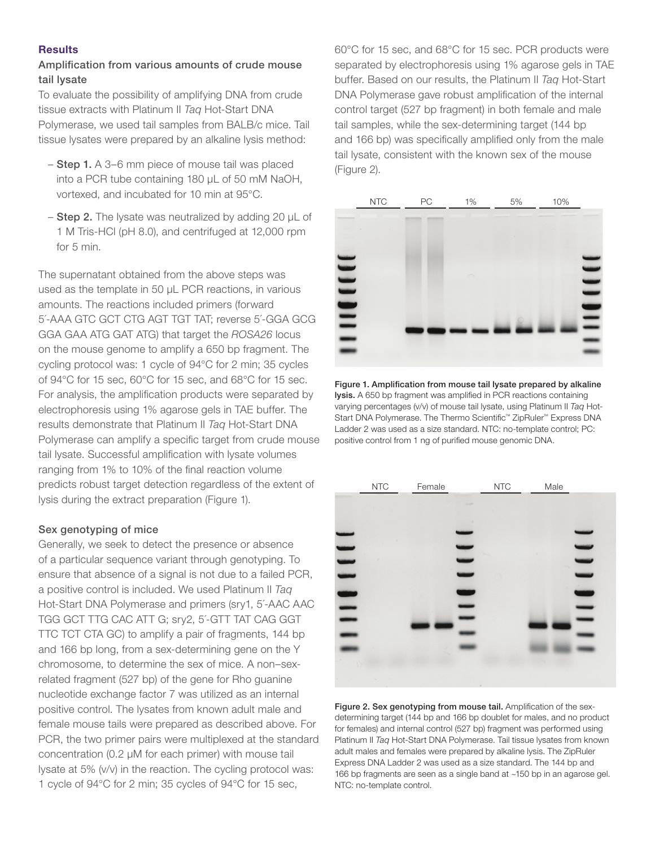# **Results**

# Amplification from various amounts of crude mouse tail lysate

To evaluate the possibility of amplifying DNA from crude tissue extracts with Platinum II *Taq* Hot-Start DNA Polymerase, we used tail samples from BALB/c mice. Tail tissue lysates were prepared by an alkaline lysis method:

- Step 1. A 3–6 mm piece of mouse tail was placed into a PCR tube containing 180 μL of 50 mM NaOH, vortexed, and incubated for 10 min at 95°C.
- $-$  Step 2. The lysate was neutralized by adding 20  $\mu$ L of 1 M Tris-HCl (pH 8.0), and centrifuged at 12,000 rpm for 5 min.

The supernatant obtained from the above steps was used as the template in 50 µL PCR reactions, in various amounts. The reactions included primers (forward 5´-AAA GTC GCT CTG AGT TGT TAT; reverse 5´-GGA GCG GGA GAA ATG GAT ATG) that target the *ROSA26* locus on the mouse genome to amplify a 650 bp fragment. The cycling protocol was: 1 cycle of 94°C for 2 min; 35 cycles of 94°C for 15 sec, 60°C for 15 sec, and 68°C for 15 sec. For analysis, the amplification products were separated by electrophoresis using 1% agarose gels in TAE buffer. The results demonstrate that Platinum II *Taq* Hot-Start DNA Polymerase can amplify a specific target from crude mouse tail lysate. Successful amplification with lysate volumes ranging from 1% to 10% of the final reaction volume predicts robust target detection regardless of the extent of lysis during the extract preparation (Figure 1).

# Sex genotyping of mice

Generally, we seek to detect the presence or absence of a particular sequence variant through genotyping. To ensure that absence of a signal is not due to a failed PCR, a positive control is included. We used Platinum II *Taq* Hot-Start DNA Polymerase and primers (sry1, 5´-AAC AAC TGG GCT TTG CAC ATT G; sry2, 5´-GTT TAT CAG GGT TTC TCT CTA GC) to amplify a pair of fragments, 144 bp and 166 bp long, from a sex-determining gene on the Y chromosome, to determine the sex of mice. A non–sexrelated fragment (527 bp) of the gene for Rho guanine nucleotide exchange factor 7 was utilized as an internal positive control. The lysates from known adult male and female mouse tails were prepared as described above. For PCR, the two primer pairs were multiplexed at the standard concentration (0.2 µM for each primer) with mouse tail lysate at 5% (v/v) in the reaction. The cycling protocol was: 1 cycle of 94°C for 2 min; 35 cycles of 94°C for 15 sec,

60°C for 15 sec, and 68°C for 15 sec. PCR products were separated by electrophoresis using 1% agarose gels in TAE buffer. Based on our results, the Platinum II *Taq* Hot-Start DNA Polymerase gave robust amplification of the internal control target (527 bp fragment) in both female and male tail samples, while the sex-determining target (144 bp and 166 bp) was specifically amplified only from the male tail lysate, consistent with the known sex of the mouse (Figure 2).



Figure 1. Amplification from mouse tail lysate prepared by alkaline lysis. A 650 bp fragment was amplified in PCR reactions containing varying percentages (v/v) of mouse tail lysate, using Platinum II *Taq* Hot-Start DNA Polymerase. The Thermo Scientific™ ZipRuler™ Express DNA Ladder 2 was used as a size standard. NTC: no-template control; PC: positive control from 1 ng of purified mouse genomic DNA.



Figure 2. Sex genotyping from mouse tail. Amplification of the sexdetermining target (144 bp and 166 bp doublet for males, and no product for females) and internal control (527 bp) fragment was performed using Platinum II *Taq* Hot-Start DNA Polymerase. Tail tissue lysates from known adult males and females were prepared by alkaline lysis. The ZipRuler Express DNA Ladder 2 was used as a size standard. The 144 bp and 166 bp fragments are seen as a single band at ~150 bp in an agarose gel. NTC: no-template control.